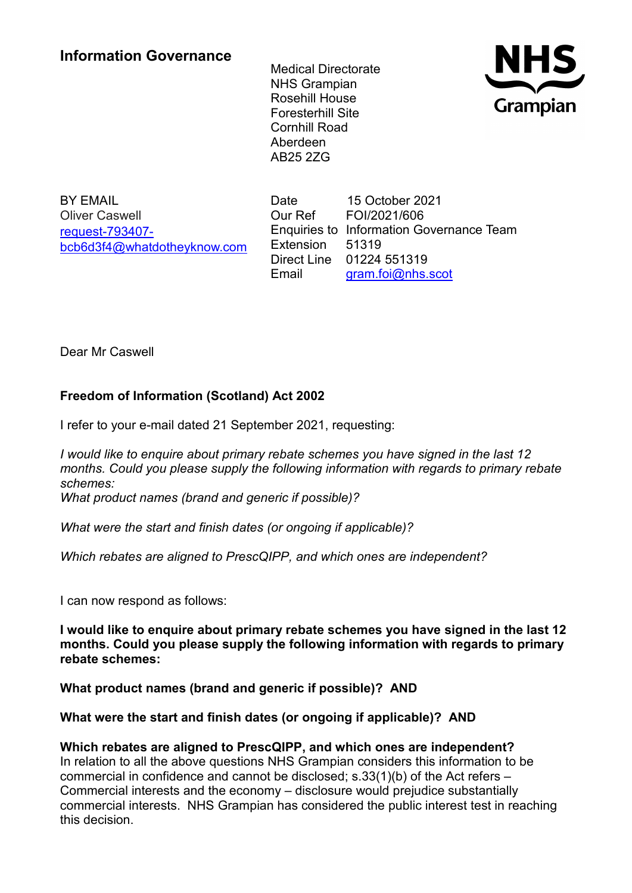Medical Directorate NHS Grampian Rosehill House Foresterhill Site Cornhill Road Aberdeen AB25 2ZG



BY EMAIL Oliver Caswell [request-793407](mailto:xxxxxxxxxxxxxxxxxxxxxxx@xxxxxxxxxxxxxx.xxx) [bcb6d3f4@whatdotheyknow.com](mailto:xxxxxxxxxxxxxxxxxxxxxxx@xxxxxxxxxxxxxx.xxx) Date 15 October 2021 Our Ref FOI/2021/606 Enquiries to Information Governance Team Extension 51319 Direct Line 01224 551319 Email [gram.foi@nhs.scot](mailto:xxxx.xxx@xxx.xxxx)

Dear Mr Caswell

## **Freedom of Information (Scotland) Act 2002**

I refer to your e-mail dated 21 September 2021, requesting:

*I would like to enquire about primary rebate schemes you have signed in the last 12 months. Could you please supply the following information with regards to primary rebate schemes: What product names (brand and generic if possible)?*

*What were the start and finish dates (or ongoing if applicable)?*

*Which rebates are aligned to PrescQIPP, and which ones are independent?*

I can now respond as follows:

**I would like to enquire about primary rebate schemes you have signed in the last 12 months. Could you please supply the following information with regards to primary rebate schemes:**

**What product names (brand and generic if possible)? AND**

## **What were the start and finish dates (or ongoing if applicable)? AND**

## **Which rebates are aligned to PrescQIPP, and which ones are independent?**

In relation to all the above questions NHS Grampian considers this information to be commercial in confidence and cannot be disclosed; s.33(1)(b) of the Act refers – Commercial interests and the economy – disclosure would prejudice substantially commercial interests. NHS Grampian has considered the public interest test in reaching this decision.